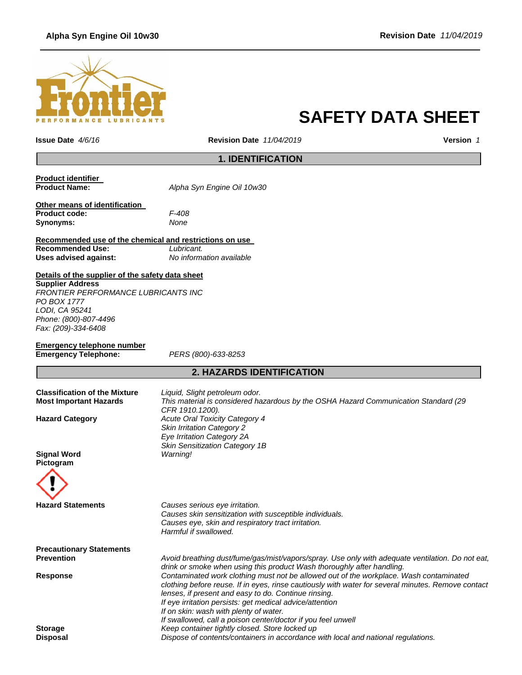## **Alpha Syn Engine Oil 10w30 Revision Date** *11/04/2019*



# **SAFETY DATA SHEET**

**Issue Date** *4/6/16* **Revision Date** *11/04/2019* **Version** *1*

# **1. IDENTIFICATION**

**Product identifier** 

**Product Name:** *Alpha Syn Engine Oil 10w30*

**Other means of identification Product code:** *F-408* **Synonyms:** *None*

#### **Recommended use of the chemical and restrictions on use Recommended Use:** *Lubricant.* **Uses advised against:** *No information available*

**Details of the supplier of the safety data sheet**

**Supplier Address** *FRONTIER PERFORMANCE LUBRICANTS INC PO BOX 1777 LODI, CA 95241 Phone: (800)-807-4496 Fax: (209)-334-6408*

| Emergency telephone number  |  |
|-----------------------------|--|
| <b>Emergency Telephone:</b> |  |

**Emergency Telephone:** *PERS (800)-633-8253*

# **2. HAZARDS IDENTIFICATION**

| <b>Classification of the Mixture</b><br><b>Most Important Hazards</b> | Liquid, Slight petroleum odor.<br>This material is considered hazardous by the OSHA Hazard Communication Standard (29<br>CFR 1910.1200).                                                                                                                                                                                                                                                                                   |
|-----------------------------------------------------------------------|----------------------------------------------------------------------------------------------------------------------------------------------------------------------------------------------------------------------------------------------------------------------------------------------------------------------------------------------------------------------------------------------------------------------------|
| <b>Hazard Category</b>                                                | <b>Acute Oral Toxicity Category 4</b><br><b>Skin Irritation Category 2</b><br>Eye Irritation Category 2A<br><b>Skin Sensitization Category 1B</b>                                                                                                                                                                                                                                                                          |
| <b>Signal Word</b><br>Pictogram                                       | Warning!                                                                                                                                                                                                                                                                                                                                                                                                                   |
|                                                                       |                                                                                                                                                                                                                                                                                                                                                                                                                            |
| <b>Hazard Statements</b>                                              | Causes serious eye irritation.<br>Causes skin sensitization with susceptible individuals.<br>Causes eye, skin and respiratory tract irritation.<br>Harmful if swallowed.                                                                                                                                                                                                                                                   |
| <b>Precautionary Statements</b>                                       |                                                                                                                                                                                                                                                                                                                                                                                                                            |
| <b>Prevention</b>                                                     | Avoid breathing dust/fume/gas/mist/vapors/spray. Use only with adequate ventilation. Do not eat,<br>drink or smoke when using this product Wash thoroughly after handling.                                                                                                                                                                                                                                                 |
| <b>Response</b>                                                       | Contaminated work clothing must not be allowed out of the workplace. Wash contaminated<br>clothing before reuse. If in eyes, rinse cautiously with water for several minutes. Remove contact<br>lenses, if present and easy to do. Continue rinsing.<br>If eye irritation persists: get medical advice/attention<br>If on skin: wash with plenty of water.<br>If swallowed, call a poison center/doctor if you feel unwell |
| <b>Storage</b>                                                        | Keep container tightly closed. Store locked up                                                                                                                                                                                                                                                                                                                                                                             |
| Disposal                                                              | Dispose of contents/containers in accordance with local and national regulations.                                                                                                                                                                                                                                                                                                                                          |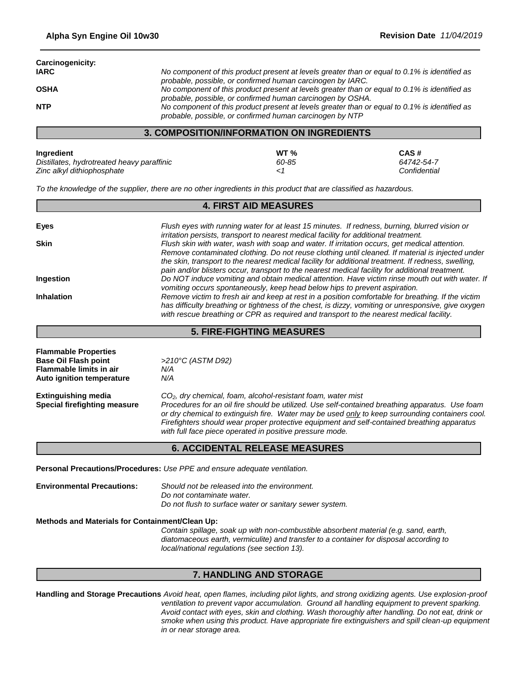| Carcinogenicity: |                                                                                               |
|------------------|-----------------------------------------------------------------------------------------------|
| <b>IARC</b>      | No component of this product present at levels greater than or equal to 0.1% is identified as |
|                  | probable, possible, or confirmed human carcinogen by IARC.                                    |
| <b>OSHA</b>      | No component of this product present at levels greater than or equal to 0.1% is identified as |
|                  | probable, possible, or confirmed human carcinogen by OSHA.                                    |
| <b>NTP</b>       | No component of this product present at levels greater than or equal to 0.1% is identified as |
|                  | probable, possible, or confirmed human carcinogen by NTP                                      |

#### **3. COMPOSITION/INFORMATION ON INGREDIENTS**

| Ingredient                                 | WT <sub>%</sub> | CAS#         |
|--------------------------------------------|-----------------|--------------|
| Distillates, hydrotreated heavy paraffinic | 60-85           | 64742-54-7   |
| Zinc alkyl dithiophosphate                 |                 | Confidential |

*To the knowledge of the supplier, there are no other ingredients in this product that are classified as hazardous.*

| <b>4. FIRST AID MEASURES</b> |                                                                                                     |  |
|------------------------------|-----------------------------------------------------------------------------------------------------|--|
|                              |                                                                                                     |  |
| Eyes                         | Flush eyes with running water for at least 15 minutes. If redness, burning, blurred vision or       |  |
|                              | irritation persists, transport to nearest medical facility for additional treatment.                |  |
| <b>Skin</b>                  | Flush skin with water, wash with soap and water. If irritation occurs, get medical attention.       |  |
|                              | Remove contaminated clothing. Do not reuse clothing until cleaned. If material is injected under    |  |
|                              | the skin, transport to the nearest medical facility for additional treatment. If redness, swelling, |  |
|                              | pain and/or blisters occur, transport to the nearest medical facility for additional treatment.     |  |
| Ingestion                    | Do NOT induce vomiting and obtain medical attention. Have victim rinse mouth out with water. If     |  |
|                              | vomiting occurs spontaneously, keep head below hips to prevent aspiration.                          |  |
| <b>Inhalation</b>            | Remove victim to fresh air and keep at rest in a position comfortable for breathing. If the victim  |  |
|                              | has difficulty breathing or tightness of the chest, is dizzy, vomiting or unresponsive, give oxygen |  |
|                              | with rescue breathing or CPR as required and transport to the nearest medical facility.             |  |

## **5. FIRE-FIGHTING MEASURES**

| <b>Flammable Properties</b><br><b>Base Oil Flash point</b><br><b>Flammable limits in air</b> | >210°C (ASTM D92)<br>N/A                                                                                                                                                                                                                                                                                                                                                                                                                  |
|----------------------------------------------------------------------------------------------|-------------------------------------------------------------------------------------------------------------------------------------------------------------------------------------------------------------------------------------------------------------------------------------------------------------------------------------------------------------------------------------------------------------------------------------------|
| Auto ignition temperature                                                                    | N/A                                                                                                                                                                                                                                                                                                                                                                                                                                       |
| <b>Extinguishing media</b><br>Special firefighting measure                                   | CO <sub>2</sub> , dry chemical, foam, alcohol-resistant foam, water mist<br>Procedures for an oil fire should be utilized. Use self-contained breathing apparatus. Use foam<br>or dry chemical to extinguish fire. Water may be used only to keep surrounding containers cool.<br>Firefighters should wear proper protective equipment and self-contained breathing apparatus<br>with full face piece operated in positive pressure mode. |
|                                                                                              | <b>6. ACCIDENTAL RELEASE MEASURES</b>                                                                                                                                                                                                                                                                                                                                                                                                     |

**Personal Precautions/Procedures:** *Use PPE and ensure adequate ventilation.* 

**Environmental Precautions:** *Should not be released into the environment. Do not contaminate water. Do not flush to surface water or sanitary sewer system.*

**Methods and Materials for Containment/Clean Up:**

*Contain spillage, soak up with non-combustible absorbent material (e.g. sand, earth, diatomaceous earth, vermiculite) and transfer to a container for disposal according to local/national regulations (see section 13).*

## **7. HANDLING AND STORAGE**

**Handling and Storage Precautions** *Avoid heat, open flames, including pilot lights, and strong oxidizing agents. Use explosion-proof ventilation to prevent vapor accumulation. Ground all handling equipment to prevent sparking. Avoid contact with eyes, skin and clothing. Wash thoroughly after handling. Do not eat, drink or smoke when using this product. Have appropriate fire extinguishers and spill clean-up equipment in or near storage area.*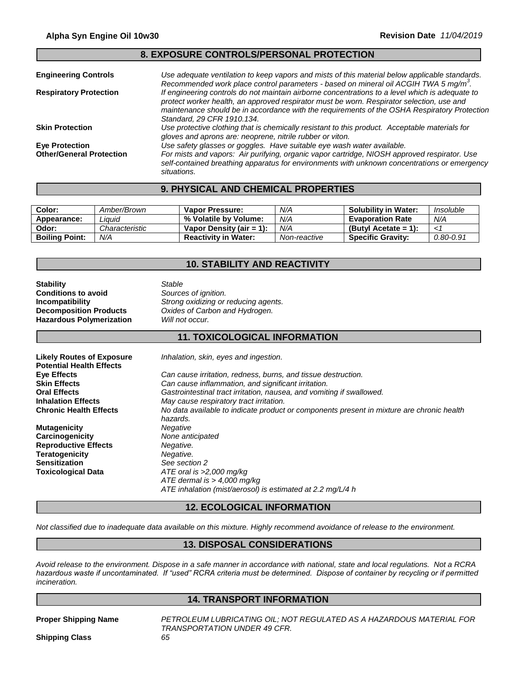## **8. EXPOSURE CONTROLS/PERSONAL PROTECTION**

| <b>Engineering Controls</b>     | Use adequate ventilation to keep vapors and mists of this material below applicable standards.<br>Recommended work place control parameters - based on mineral oil ACGIH TWA 5 mg/m <sup>3</sup> .                                                                                                                         |
|---------------------------------|----------------------------------------------------------------------------------------------------------------------------------------------------------------------------------------------------------------------------------------------------------------------------------------------------------------------------|
| <b>Respiratory Protection</b>   | If engineering controls do not maintain airborne concentrations to a level which is adequate to<br>protect worker health, an approved respirator must be worn. Respirator selection, use and<br>maintenance should be in accordance with the requirements of the OSHA Respiratory Protection<br>Standard, 29 CFR 1910.134. |
| <b>Skin Protection</b>          | Use protective clothing that is chemically resistant to this product. Acceptable materials for<br>gloves and aprons are: neoprene, nitrile rubber or viton.                                                                                                                                                                |
| <b>Eye Protection</b>           | Use safety glasses or goggles. Have suitable eye wash water available.                                                                                                                                                                                                                                                     |
| <b>Other/General Protection</b> | For mists and vapors: Air purifying, organic vapor cartridge, NIOSH approved respirator. Use<br>self-contained breathing apparatus for environments with unknown concentrations or emergency<br>situations.                                                                                                                |

## **9. PHYSICAL AND CHEMICAL PROPERTIES**

| Color:                | Amber/Brown    | Vapor Pressure:             | N/A          | <b>Solubility in Water:</b> | Insoluble     |
|-----------------------|----------------|-----------------------------|--------------|-----------------------------|---------------|
| Appearance:           | .iauid         | % Volatile by Volume:       | N/A          | <b>Evaporation Rate</b>     | N/A           |
| Odor:                 | Characteristic | Vapor Density (air $= 1$ ): | N/A          | (Butyl Acetate = 1):        | ن م           |
| <b>Boiling Point:</b> | N/A            | <b>Reactivity in Water:</b> | Non-reactive | <b>Specific Gravity:</b>    | $0.80 - 0.91$ |

## **10. STABILITY AND REACTIVITY**

| Stability                       | Stable                               |
|---------------------------------|--------------------------------------|
| Conditions to avoid             | Sources of ignition.                 |
| Incompatibility                 | Strong oxidizing or reducing agents. |
| <b>Decomposition Products</b>   | Oxides of Carbon and Hydrogen.       |
| <b>Hazardous Polymerization</b> | Will not occur.                      |
|                                 |                                      |

## **11. TOXICOLOGICAL INFORMATION**

| <b>Likely Routes of Exposure</b><br><b>Potential Health Effects</b> | Inhalation, skin, eyes and ingestion.                                                                                       |
|---------------------------------------------------------------------|-----------------------------------------------------------------------------------------------------------------------------|
| Eye Effects                                                         | Can cause irritation, redness, burns, and tissue destruction.                                                               |
| <b>Skin Effects</b>                                                 | Can cause inflammation, and significant irritation.                                                                         |
| <b>Oral Effects</b>                                                 | Gastrointestinal tract irritation, nausea, and vomiting if swallowed.                                                       |
| <b>Inhalation Effects</b>                                           | May cause respiratory tract irritation.                                                                                     |
| <b>Chronic Health Effects</b>                                       | No data available to indicate product or components present in mixture are chronic health<br>hazards.                       |
| <b>Mutagenicity</b>                                                 | Negative                                                                                                                    |
| <b>Carcinogenicity</b>                                              | None anticipated                                                                                                            |
| <b>Reproductive Effects</b>                                         | Negative.                                                                                                                   |
| Teratogenicity                                                      | Negative.                                                                                                                   |
| Sensitization                                                       | See section 2                                                                                                               |
| Toxicological Data                                                  | $ATE$ oral is $>2,000$ mg/kg<br>ATE dermal is $> 4,000$ mg/kg<br>ATE inhalation (mist/aerosol) is estimated at 2.2 mg/L/4 h |

## **12. ECOLOGICAL INFORMATION**

*Not classified due to inadequate data available on this mixture. Highly recommend avoidance of release to the environment.*

#### **13. DISPOSAL CONSIDERATIONS**

*Avoid release to the environment. Dispose in a safe manner in accordance with national, state and local regulations. Not a RCRA hazardous waste if uncontaminated. If "used" RCRA criteria must be determined. Dispose of container by recycling or if permitted incineration.*

## **14. TRANSPORT INFORMATION**

**Proper Shipping Name** *PETROLEUM LUBRICATING OIL; NOT REGULATED AS A HAZARDOUS MATERIAL FOR TRANSPORTATION UNDER 49 CFR.*

**Shipping Class** *65*